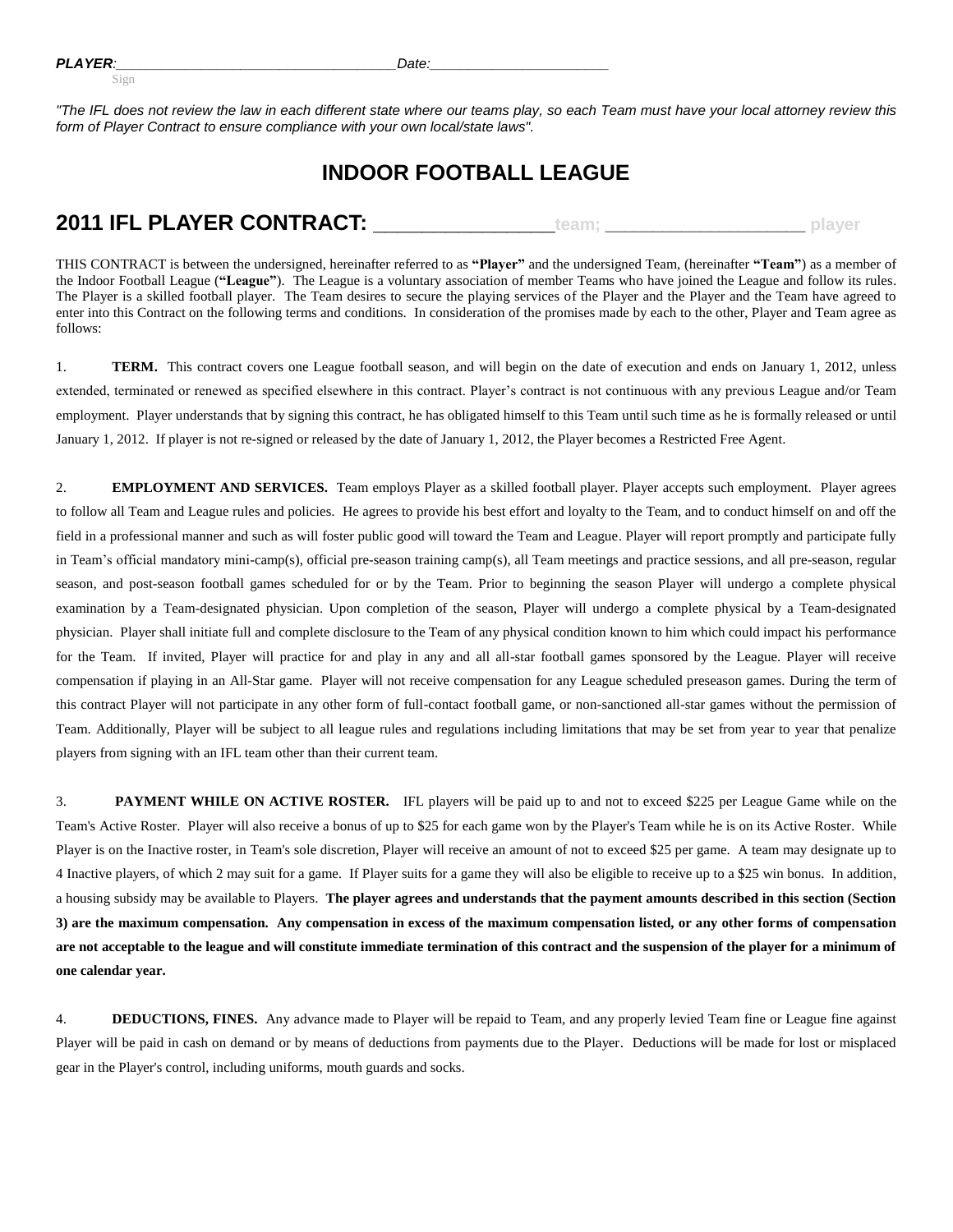*"The IFL does not review the law in each different state where our teams play, so each Team must have your local attorney review this form of Player Contract to ensure compliance with your own local/state laws".*

## **INDOOR FOOTBALL LEAGUE**

## **2011 IFL PLAYER CONTRACT: \_\_\_\_\_\_\_\_\_\_\_\_\_\_\_team; \_\_\_\_\_\_\_\_\_\_\_\_\_\_\_\_\_\_\_\_\_ player**

THIS CONTRACT is between the undersigned, hereinafter referred to as **"Player"** and the undersigned Team, (hereinafter **"Team"**) as a member of the Indoor Football League (**"League"**). The League is a voluntary association of member Teams who have joined the League and follow its rules. The Player is a skilled football player. The Team desires to secure the playing services of the Player and the Player and the Team have agreed to enter into this Contract on the following terms and conditions. In consideration of the promises made by each to the other, Player and Team agree as follows:

1. **TERM.** This contract covers one League football season, and will begin on the date of execution and ends on January 1, 2012, unless extended, terminated or renewed as specified elsewhere in this contract. Player's contract is not continuous with any previous League and/or Team employment. Player understands that by signing this contract, he has obligated himself to this Team until such time as he is formally released or until January 1, 2012. If player is not re-signed or released by the date of January 1, 2012, the Player becomes a Restricted Free Agent.

2. **EMPLOYMENT AND SERVICES.** Team employs Player as a skilled football player. Player accepts such employment. Player agrees to follow all Team and League rules and policies. He agrees to provide his best effort and loyalty to the Team, and to conduct himself on and off the field in a professional manner and such as will foster public good will toward the Team and League. Player will report promptly and participate fully in Team's official mandatory mini-camp(s), official pre-season training camp(s), all Team meetings and practice sessions, and all pre-season, regular season, and post-season football games scheduled for or by the Team. Prior to beginning the season Player will undergo a complete physical examination by a Team-designated physician. Upon completion of the season, Player will undergo a complete physical by a Team-designated physician. Player shall initiate full and complete disclosure to the Team of any physical condition known to him which could impact his performance for the Team. If invited, Player will practice for and play in any and all all-star football games sponsored by the League. Player will receive compensation if playing in an All-Star game. Player will not receive compensation for any League scheduled preseason games. During the term of this contract Player will not participate in any other form of full-contact football game, or non-sanctioned all-star games without the permission of Team. Additionally, Player will be subject to all league rules and regulations including limitations that may be set from year to year that penalize players from signing with an IFL team other than their current team.

3. **PAYMENT WHILE ON ACTIVE ROSTER.** IFL players will be paid up to and not to exceed \$225 per League Game while on the Team's Active Roster. Player will also receive a bonus of up to \$25 for each game won by the Player's Team while he is on its Active Roster. While Player is on the Inactive roster, in Team's sole discretion, Player will receive an amount of not to exceed \$25 per game. A team may designate up to 4 Inactive players, of which 2 may suit for a game. If Player suits for a game they will also be eligible to receive up to a \$25 win bonus. In addition, a housing subsidy may be available to Players. **The player agrees and understands that the payment amounts described in this section (Section 3) are the maximum compensation. Any compensation in excess of the maximum compensation listed, or any other forms of compensation are not acceptable to the league and will constitute immediate termination of this contract and the suspension of the player for a minimum of one calendar year.**

4. **DEDUCTIONS, FINES.** Any advance made to Player will be repaid to Team, and any properly levied Team fine or League fine against Player will be paid in cash on demand or by means of deductions from payments due to the Player. Deductions will be made for lost or misplaced gear in the Player's control, including uniforms, mouth guards and socks.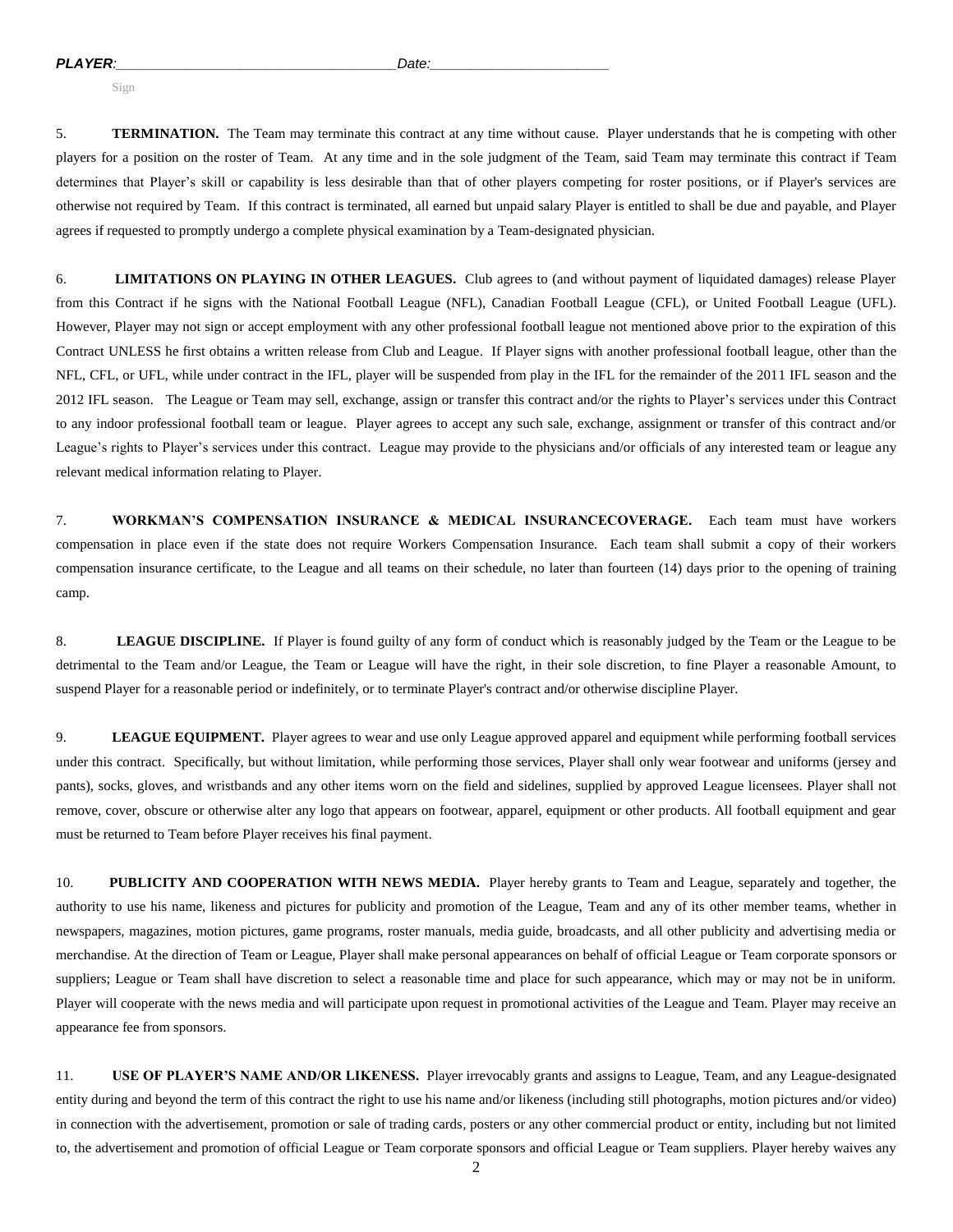Sign

5. **TERMINATION.** The Team may terminate this contract at any time without cause. Player understands that he is competing with other players for a position on the roster of Team. At any time and in the sole judgment of the Team, said Team may terminate this contract if Team determines that Player's skill or capability is less desirable than that of other players competing for roster positions, or if Player's services are otherwise not required by Team. If this contract is terminated, all earned but unpaid salary Player is entitled to shall be due and payable, and Player agrees if requested to promptly undergo a complete physical examination by a Team-designated physician.

6. **LIMITATIONS ON PLAYING IN OTHER LEAGUES.** Club agrees to (and without payment of liquidated damages) release Player from this Contract if he signs with the National Football League (NFL), Canadian Football League (CFL), or United Football League (UFL). However, Player may not sign or accept employment with any other professional football league not mentioned above prior to the expiration of this Contract UNLESS he first obtains a written release from Club and League. If Player signs with another professional football league, other than the NFL, CFL, or UFL, while under contract in the IFL, player will be suspended from play in the IFL for the remainder of the 2011 IFL season and the 2012 IFL season. The League or Team may sell, exchange, assign or transfer this contract and/or the rights to Player's services under this Contract to any indoor professional football team or league. Player agrees to accept any such sale, exchange, assignment or transfer of this contract and/or League's rights to Player's services under this contract. League may provide to the physicians and/or officials of any interested team or league any relevant medical information relating to Player.

7. **WORKMAN'S COMPENSATION INSURANCE & MEDICAL INSURANCECOVERAGE.** Each team must have workers compensation in place even if the state does not require Workers Compensation Insurance. Each team shall submit a copy of their workers compensation insurance certificate, to the League and all teams on their schedule, no later than fourteen (14) days prior to the opening of training camp.

8. **LEAGUE DISCIPLINE.** If Player is found guilty of any form of conduct which is reasonably judged by the Team or the League to be detrimental to the Team and/or League, the Team or League will have the right, in their sole discretion, to fine Player a reasonable Amount, to suspend Player for a reasonable period or indefinitely, or to terminate Player's contract and/or otherwise discipline Player.

9. **LEAGUE EQUIPMENT.** Player agrees to wear and use only League approved apparel and equipment while performing football services under this contract. Specifically, but without limitation, while performing those services, Player shall only wear footwear and uniforms (jersey and pants), socks, gloves, and wristbands and any other items worn on the field and sidelines, supplied by approved League licensees. Player shall not remove, cover, obscure or otherwise alter any logo that appears on footwear, apparel, equipment or other products. All football equipment and gear must be returned to Team before Player receives his final payment.

10. **PUBLICITY AND COOPERATION WITH NEWS MEDIA.** Player hereby grants to Team and League, separately and together, the authority to use his name, likeness and pictures for publicity and promotion of the League, Team and any of its other member teams, whether in newspapers, magazines, motion pictures, game programs, roster manuals, media guide, broadcasts, and all other publicity and advertising media or merchandise. At the direction of Team or League, Player shall make personal appearances on behalf of official League or Team corporate sponsors or suppliers; League or Team shall have discretion to select a reasonable time and place for such appearance, which may or may not be in uniform. Player will cooperate with the news media and will participate upon request in promotional activities of the League and Team. Player may receive an appearance fee from sponsors.

11. **USE OF PLAYER'S NAME AND/OR LIKENESS.** Player irrevocably grants and assigns to League, Team, and any League-designated entity during and beyond the term of this contract the right to use his name and/or likeness (including still photographs, motion pictures and/or video) in connection with the advertisement, promotion or sale of trading cards, posters or any other commercial product or entity, including but not limited to, the advertisement and promotion of official League or Team corporate sponsors and official League or Team suppliers. Player hereby waives any